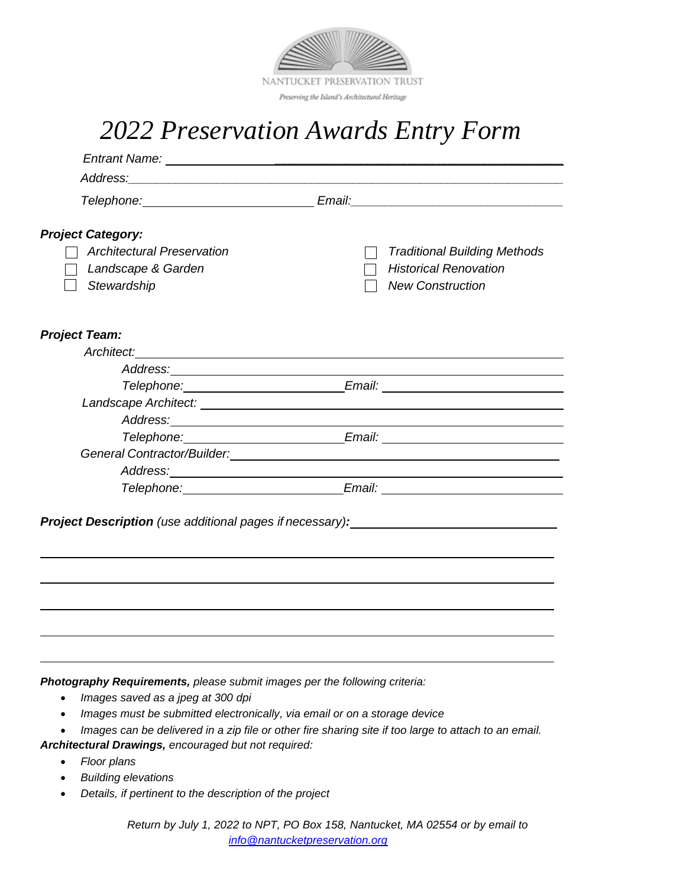

# *2022 Preservation Awards Entry Form*

|                                   | Telephone: <u>New York: Email:</u> Email: Email: Email: Email: Email: Email: Email: Email: Email: Email: Email: Email: Email: Email: Email: Email: Email: Email: Email: Email: Email: Email: Email: Email: Email: Email: Email: Ema |                                     |
|-----------------------------------|-------------------------------------------------------------------------------------------------------------------------------------------------------------------------------------------------------------------------------------|-------------------------------------|
| <b>Project Category:</b>          |                                                                                                                                                                                                                                     |                                     |
| <b>Architectural Preservation</b> |                                                                                                                                                                                                                                     | <b>Traditional Building Methods</b> |
| Landscape & Garden                |                                                                                                                                                                                                                                     | <b>Historical Renovation</b>        |
| Stewardship                       |                                                                                                                                                                                                                                     | <b>New Construction</b>             |
| <b>Project Team:</b>              |                                                                                                                                                                                                                                     |                                     |
|                                   | Architect: <u>Architect:</u>                                                                                                                                                                                                        |                                     |
|                                   |                                                                                                                                                                                                                                     |                                     |
|                                   | Telephone: Email: Email: Email: Email: Email: Email: Email: Email: Email: Email: Email: Email: Email: Email: Email: Email: Email: Email: Email: Email: Email: Email: Email: Email: Email: Email: Email: Email: Email: Email: E      |                                     |
|                                   |                                                                                                                                                                                                                                     |                                     |
|                                   |                                                                                                                                                                                                                                     |                                     |
|                                   | Telephone: Email: Email: Email: Email: Email: Email: Email: Email: Email: Email: Email: Email: Email: Email: Email: Email: Email: Email: Email: Email: Email: Email: Email: Email: Email: Email: Email: Email: Email: Email: E      |                                     |
|                                   |                                                                                                                                                                                                                                     |                                     |
|                                   | Address: 2008. Address: 2008. Address: 2008. Address: 2008. Address: 2008. Address: 2008. Address: 2008. Address: 2008. Address: 2008. Address: 2008. Address: 2008. Address: 2008. Address: 2008. Address: 2008. Address: 200      |                                     |
|                                   | Telephone: Email: Email: Email: Email: Email: Email: Email: Email: Email: Email: Email: Email: Email: Email: Email: Email: Email: Email: Email: Email: Email: Email: Email: Email: Email: Email: Email: Email: Email: Email: E      |                                     |

*Photography Requirements, please submit images per the following criteria:*

- *Images saved as a jpeg at 300 dpi*
- *Images must be submitted electronically, via email or on a storage device*
- *Images can be delivered in a zip file or other fire sharing site if too large to attach to an email.*

*Architectural Drawings, encouraged but not required:*

- *Floor plans*
- *Building elevations*
- *Details, if pertinent to the description of the project*